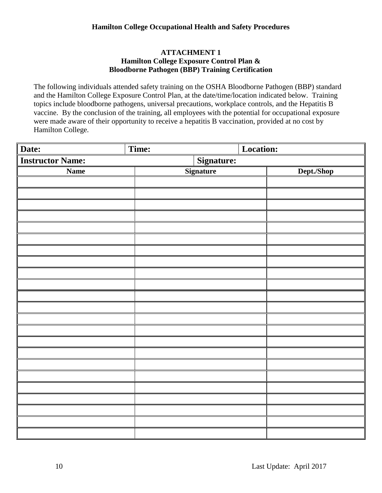# **ATTACHMENT 1 Hamilton College Exposure Control Plan & Bloodborne Pathogen (BBP) Training Certification**

The following individuals attended safety training on the OSHA Bloodborne Pathogen (BBP) standard and the Hamilton College Exposure Control Plan, at the date/time/location indicated below. Training topics include bloodborne pathogens, universal precautions, workplace controls, and the Hepatitis B vaccine. By the conclusion of the training, all employees with the potential for occupational exposure were made aware of their opportunity to receive a hepatitis B vaccination, provided at no cost by Hamilton College.

| Date:                   | Time: | Location:  |  |            |  |
|-------------------------|-------|------------|--|------------|--|
| <b>Instructor Name:</b> |       | Signature: |  |            |  |
| <b>Name</b>             |       | Signature  |  | Dept./Shop |  |
|                         |       |            |  |            |  |
|                         |       |            |  |            |  |
|                         |       |            |  |            |  |
|                         |       |            |  |            |  |
|                         |       |            |  |            |  |
|                         |       |            |  |            |  |
|                         |       |            |  |            |  |
|                         |       |            |  |            |  |
|                         |       |            |  |            |  |
|                         |       |            |  |            |  |
|                         |       |            |  |            |  |
|                         |       |            |  |            |  |
|                         |       |            |  |            |  |
|                         |       |            |  |            |  |
|                         |       |            |  |            |  |
|                         |       |            |  |            |  |
|                         |       |            |  |            |  |
|                         |       |            |  |            |  |
|                         |       |            |  |            |  |
|                         |       |            |  |            |  |
|                         |       |            |  |            |  |
|                         |       |            |  |            |  |
|                         |       |            |  |            |  |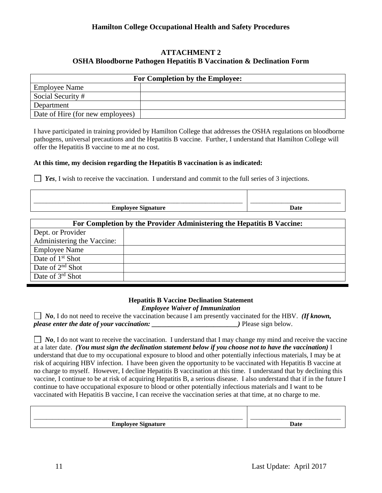## **ATTACHMENT 2 OSHA Bloodborne Pathogen Hepatitis B Vaccination & Declination Form**

| For Completion by the Employee:  |  |  |  |
|----------------------------------|--|--|--|
| <b>Employee Name</b>             |  |  |  |
| Social Security #                |  |  |  |
| Department                       |  |  |  |
| Date of Hire (for new employees) |  |  |  |

I have participated in training provided by Hamilton College that addresses the OSHA regulations on bloodborne pathogens, universal precautions and the Hepatitis B vaccine. Further, I understand that Hamilton College will offer the Hepatitis B vaccine to me at no cost.

### **At this time, my decision regarding the Hepatitis B vaccination is as indicated:**

*Yes*, I wish to receive the vaccination. I understand and commit to the full series of 3 injections.

| ______<br><b>Employee Signature</b> | Jote |
|-------------------------------------|------|
|                                     |      |

| For Completion by the Provider Administering the Hepatitis B Vaccine: |  |  |  |
|-----------------------------------------------------------------------|--|--|--|
| Dept. or Provider                                                     |  |  |  |
| Administering the Vaccine:                                            |  |  |  |
| <b>Employee Name</b>                                                  |  |  |  |
| Date of 1 <sup>st</sup> Shot                                          |  |  |  |
| Date of $2nd$ Shot                                                    |  |  |  |
| Date of $3rd$ Shot                                                    |  |  |  |

### **Hepatitis B Vaccine Declination Statement** *Employee Waiver of Immunization*

*No*, I do not need to receive the vaccination because I am presently vaccinated for the HBV. *(If known, please enter the date of your vaccination:*  $\rho$  **below.**  $\rho$  **Please sign below.** 

*No*, I do not want to receive the vaccination. I understand that I may change my mind and receive the vaccine at a later date. *(You must sign the declination statement below if you choose not to have the vaccination)* I understand that due to my occupational exposure to blood and other potentially infectious materials, I may be at risk of acquiring HBV infection. I have been given the opportunity to be vaccinated with Hepatitis B vaccine at no charge to myself. However, I decline Hepatitis B vaccination at this time. I understand that by declining this vaccine, I continue to be at risk of acquiring Hepatitis B, a serious disease. I also understand that if in the future I continue to have occupational exposure to blood or other potentially infectious materials and I want to be vaccinated with Hepatitis B vaccine, I can receive the vaccination series at that time, at no charge to me.

|                                | ________________ |
|--------------------------------|------------------|
| $- - - -$<br>---<br>້<br>----- | 1ot              |